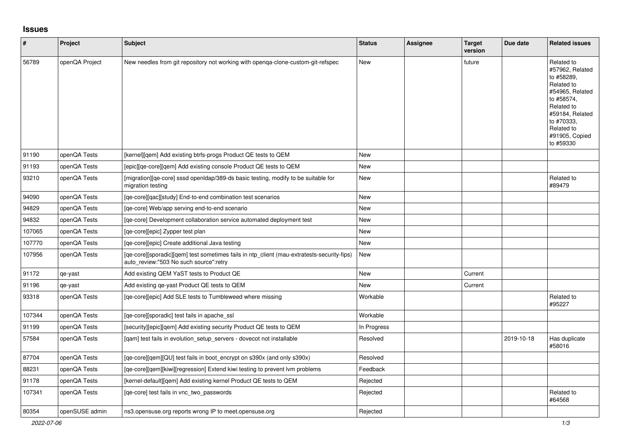## **Issues**

| $\vert$ # | Project        | <b>Subject</b>                                                                                                                       | <b>Status</b> | Assignee | Target<br>version | Due date   | <b>Related issues</b>                                                                                                                                                                  |
|-----------|----------------|--------------------------------------------------------------------------------------------------------------------------------------|---------------|----------|-------------------|------------|----------------------------------------------------------------------------------------------------------------------------------------------------------------------------------------|
| 56789     | openQA Project | New needles from git repository not working with openga-clone-custom-git-refspec                                                     | New           |          | future            |            | Related to<br>#57962, Related<br>to #58289,<br>Related to<br>#54965, Related<br>to #58574.<br>Related to<br>#59184, Related<br>to #70333.<br>Related to<br>#91905, Copied<br>to #59330 |
| 91190     | openQA Tests   | [kernel][gem] Add existing btrfs-progs Product QE tests to QEM                                                                       | <b>New</b>    |          |                   |            |                                                                                                                                                                                        |
| 91193     | openQA Tests   | [epic][ge-core][gem] Add existing console Product QE tests to QEM                                                                    | <b>New</b>    |          |                   |            |                                                                                                                                                                                        |
| 93210     | openQA Tests   | [migration][qe-core] sssd openIdap/389-ds basic testing, modify to be suitable for<br>migration testing                              | New           |          |                   |            | Related to<br>#89479                                                                                                                                                                   |
| 94090     | openQA Tests   | [ge-core][gac][study] End-to-end combination test scenarios                                                                          | <b>New</b>    |          |                   |            |                                                                                                                                                                                        |
| 94829     | openQA Tests   | [ge-core] Web/app serving end-to-end scenario                                                                                        | New           |          |                   |            |                                                                                                                                                                                        |
| 94832     | openQA Tests   | [qe-core] Development collaboration service automated deployment test                                                                | New           |          |                   |            |                                                                                                                                                                                        |
| 107065    | openQA Tests   | [qe-core][epic] Zypper test plan                                                                                                     | <b>New</b>    |          |                   |            |                                                                                                                                                                                        |
| 107770    | openQA Tests   | [qe-core][epic] Create additional Java testing                                                                                       | <b>New</b>    |          |                   |            |                                                                                                                                                                                        |
| 107956    | openQA Tests   | [qe-core][sporadic][qem] test sometimes fails in ntp_client (mau-extratests-security-fips)<br>auto review:"503 No such source":retry | <b>New</b>    |          |                   |            |                                                                                                                                                                                        |
| 91172     | qe-yast        | Add existing QEM YaST tests to Product QE                                                                                            | <b>New</b>    |          | Current           |            |                                                                                                                                                                                        |
| 91196     | qe-yast        | Add existing ge-yast Product QE tests to QEM                                                                                         | New           |          | Current           |            |                                                                                                                                                                                        |
| 93318     | openQA Tests   | [ge-core][epic] Add SLE tests to Tumbleweed where missing                                                                            | Workable      |          |                   |            | Related to<br>#95227                                                                                                                                                                   |
| 107344    | openQA Tests   | [qe-core][sporadic] test fails in apache_ssl                                                                                         | Workable      |          |                   |            |                                                                                                                                                                                        |
| 91199     | openQA Tests   | [security][epic][qem] Add existing security Product QE tests to QEM                                                                  | In Progress   |          |                   |            |                                                                                                                                                                                        |
| 57584     | openQA Tests   | [gam] test fails in evolution setup servers - dovecot not installable                                                                | Resolved      |          |                   | 2019-10-18 | Has duplicate<br>#58016                                                                                                                                                                |
| 87704     | openQA Tests   | [qe-core][qem][QU] test fails in boot_encrypt on s390x (and only s390x)                                                              | Resolved      |          |                   |            |                                                                                                                                                                                        |
| 88231     | openQA Tests   | [qe-core][qem][kiwi][regression] Extend kiwi testing to prevent lvm problems                                                         | Feedback      |          |                   |            |                                                                                                                                                                                        |
| 91178     | openQA Tests   | [kernel-default][qem] Add existing kernel Product QE tests to QEM                                                                    | Rejected      |          |                   |            |                                                                                                                                                                                        |
| 107341    | openQA Tests   | [qe-core] test fails in vnc_two_passwords                                                                                            | Rejected      |          |                   |            | Related to<br>#64568                                                                                                                                                                   |
| 80354     | openSUSE admin | ns3.opensuse.org reports wrong IP to meet.opensuse.org                                                                               | Rejected      |          |                   |            |                                                                                                                                                                                        |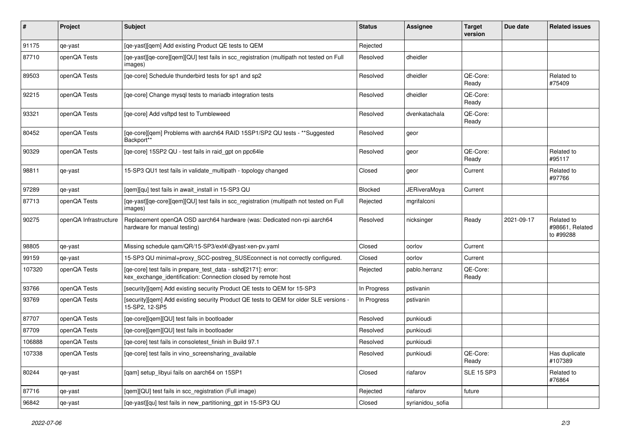| #      | <b>Project</b>        | Subject                                                                                                                         | <b>Status</b> | <b>Assignee</b>     | <b>Target</b><br>version | Due date   | <b>Related issues</b>                      |
|--------|-----------------------|---------------------------------------------------------------------------------------------------------------------------------|---------------|---------------------|--------------------------|------------|--------------------------------------------|
| 91175  | qe-yast               | [qe-yast][qem] Add existing Product QE tests to QEM                                                                             | Rejected      |                     |                          |            |                                            |
| 87710  | openQA Tests          | [qe-yast][qe-core][qem][QU] test fails in scc_registration (multipath not tested on Full<br>images)                             | Resolved      | dheidler            |                          |            |                                            |
| 89503  | openQA Tests          | [qe-core] Schedule thunderbird tests for sp1 and sp2                                                                            | Resolved      | dheidler            | QE-Core:<br>Ready        |            | Related to<br>#75409                       |
| 92215  | openQA Tests          | [qe-core] Change mysql tests to mariadb integration tests                                                                       | Resolved      | dheidler            | QE-Core:<br>Ready        |            |                                            |
| 93321  | openQA Tests          | [qe-core] Add vsftpd test to Tumbleweed                                                                                         | Resolved      | dvenkatachala       | QE-Core:<br>Ready        |            |                                            |
| 80452  | openQA Tests          | [qe-core][qem] Problems with aarch64 RAID 15SP1/SP2 QU tests - ** Suggested<br>Backport**                                       | Resolved      | geor                |                          |            |                                            |
| 90329  | openQA Tests          | [qe-core] 15SP2 QU - test fails in raid_gpt on ppc64le                                                                          | Resolved      | geor                | QE-Core:<br>Ready        |            | Related to<br>#95117                       |
| 98811  | qe-yast               | 15-SP3 QU1 test fails in validate_multipath - topology changed                                                                  | Closed        | geor                | Current                  |            | Related to<br>#97766                       |
| 97289  | qe-yast               | [gem][qu] test fails in await install in 15-SP3 QU                                                                              | Blocked       | <b>JERiveraMoya</b> | Current                  |            |                                            |
| 87713  | openQA Tests          | [qe-yast][qe-core][qem][QU] test fails in scc_registration (multipath not tested on Full<br>images)                             | Rejected      | mgrifalconi         |                          |            |                                            |
| 90275  | openQA Infrastructure | Replacement openQA OSD aarch64 hardware (was: Dedicated non-rpi aarch64<br>hardware for manual testing)                         | Resolved      | nicksinger          | Ready                    | 2021-09-17 | Related to<br>#98661, Related<br>to #99288 |
| 98805  | qe-yast               | Missing schedule qam/QR/15-SP3/ext4\@yast-xen-pv.yaml                                                                           | Closed        | oorlov              | Current                  |            |                                            |
| 99159  | qe-yast               | 15-SP3 QU minimal+proxy_SCC-postreg_SUSEconnect is not correctly configured.                                                    | Closed        | oorlov              | Current                  |            |                                            |
| 107320 | openQA Tests          | [qe-core] test fails in prepare_test_data - sshd[2171]: error:<br>kex_exchange_identification: Connection closed by remote host | Rejected      | pablo.herranz       | QE-Core:<br>Ready        |            |                                            |
| 93766  | openQA Tests          | [security][qem] Add existing security Product QE tests to QEM for 15-SP3                                                        | In Progress   | pstivanin           |                          |            |                                            |
| 93769  | openQA Tests          | [security][qem] Add existing security Product QE tests to QEM for older SLE versions -<br>15-SP2, 12-SP5                        | In Progress   | pstivanin           |                          |            |                                            |
| 87707  | openQA Tests          | [qe-core][qem][QU] test fails in bootloader                                                                                     | Resolved      | punkioudi           |                          |            |                                            |
| 87709  | openQA Tests          | [qe-core][qem][QU] test fails in bootloader                                                                                     | Resolved      | punkioudi           |                          |            |                                            |
| 106888 | openQA Tests          | [qe-core] test fails in consoletest_finish in Build 97.1                                                                        | Resolved      | punkioudi           |                          |            |                                            |
| 107338 | openQA Tests          | [qe-core] test fails in vino_screensharing_available                                                                            | Resolved      | punkioudi           | QE-Core:<br>Ready        |            | Has duplicate<br>#107389                   |
| 80244  | qe-yast               | [qam] setup_libyui fails on aarch64 on 15SP1                                                                                    | Closed        | riafarov            | <b>SLE 15 SP3</b>        |            | Related to<br>#76864                       |
| 87716  | qe-yast               | [qem][QU] test fails in scc_registration (Full image)                                                                           | Rejected      | riafarov            | future                   |            |                                            |
| 96842  | qe-yast               | [qe-yast][qu] test fails in new_partitioning_gpt in 15-SP3 QU                                                                   | Closed        | syrianidou_sofia    |                          |            |                                            |